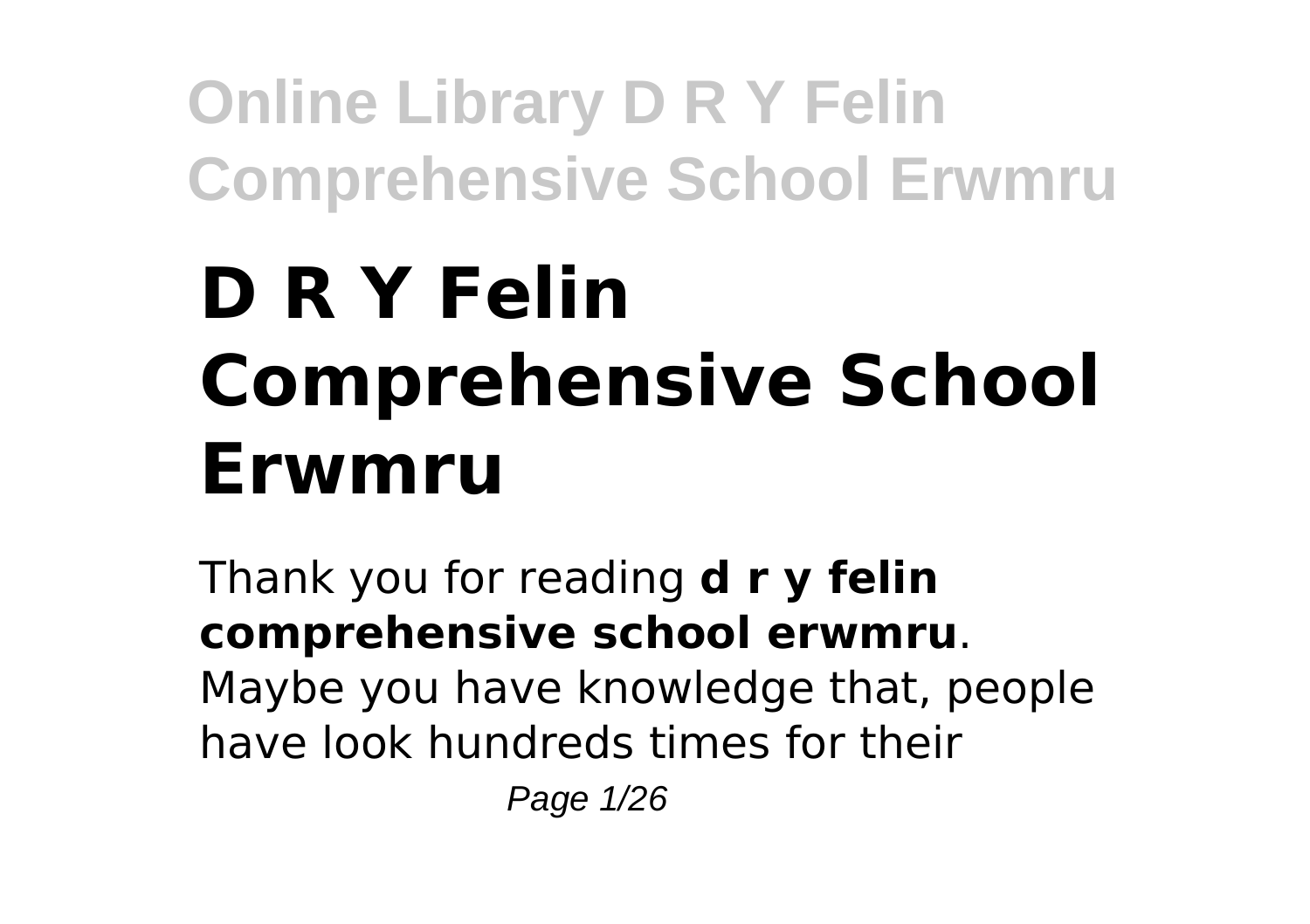# **D R Y Felin Comprehensive School Erwmru**

Thank you for reading **d r y felin comprehensive school erwmru**. Maybe you have knowledge that, people have look hundreds times for their

Page 1/26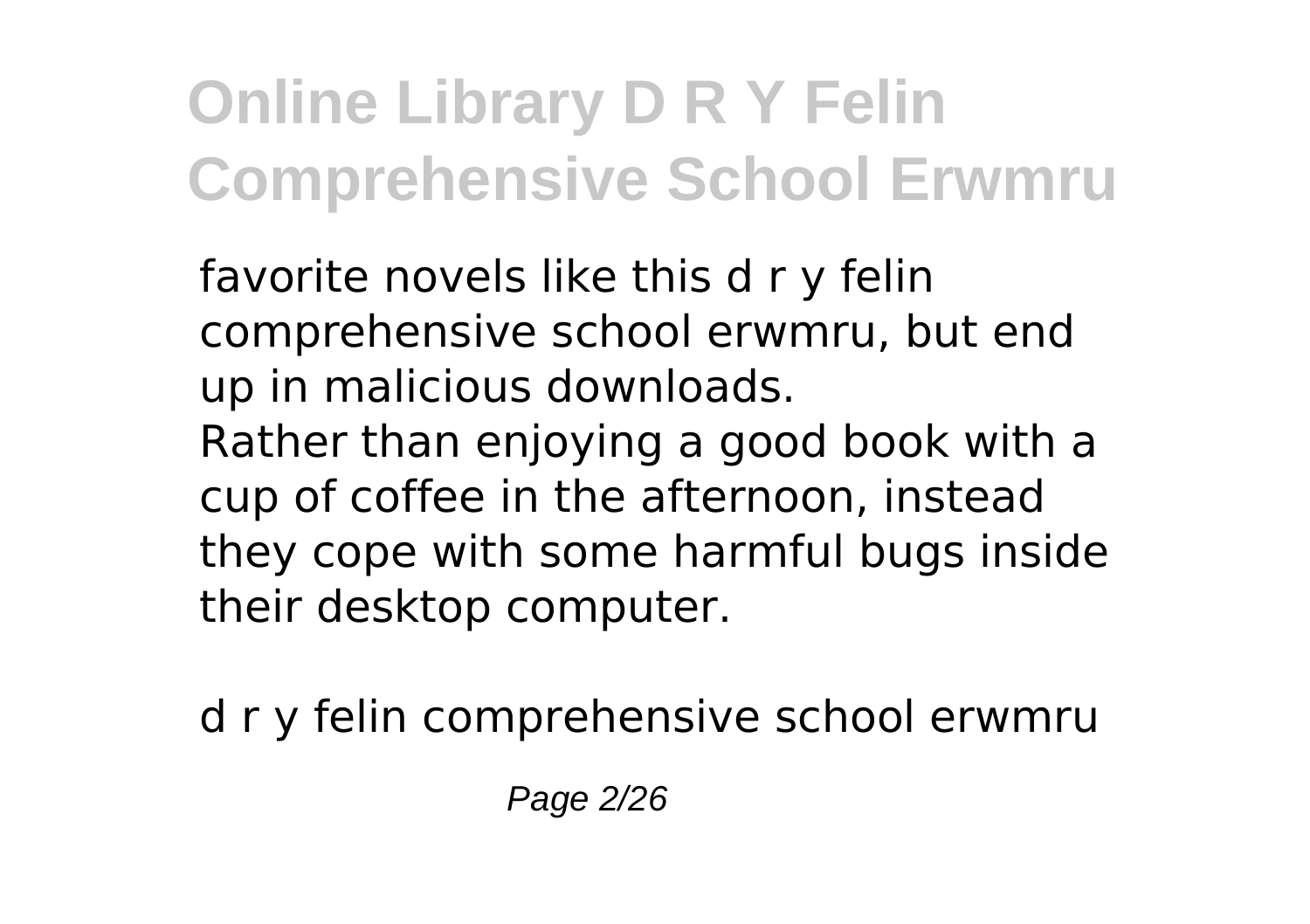favorite novels like this d r y felin comprehensive school erwmru, but end up in malicious downloads. Rather than enjoying a good book with a cup of coffee in the afternoon, instead they cope with some harmful bugs inside their desktop computer.

d r y felin comprehensive school erwmru

Page 2/26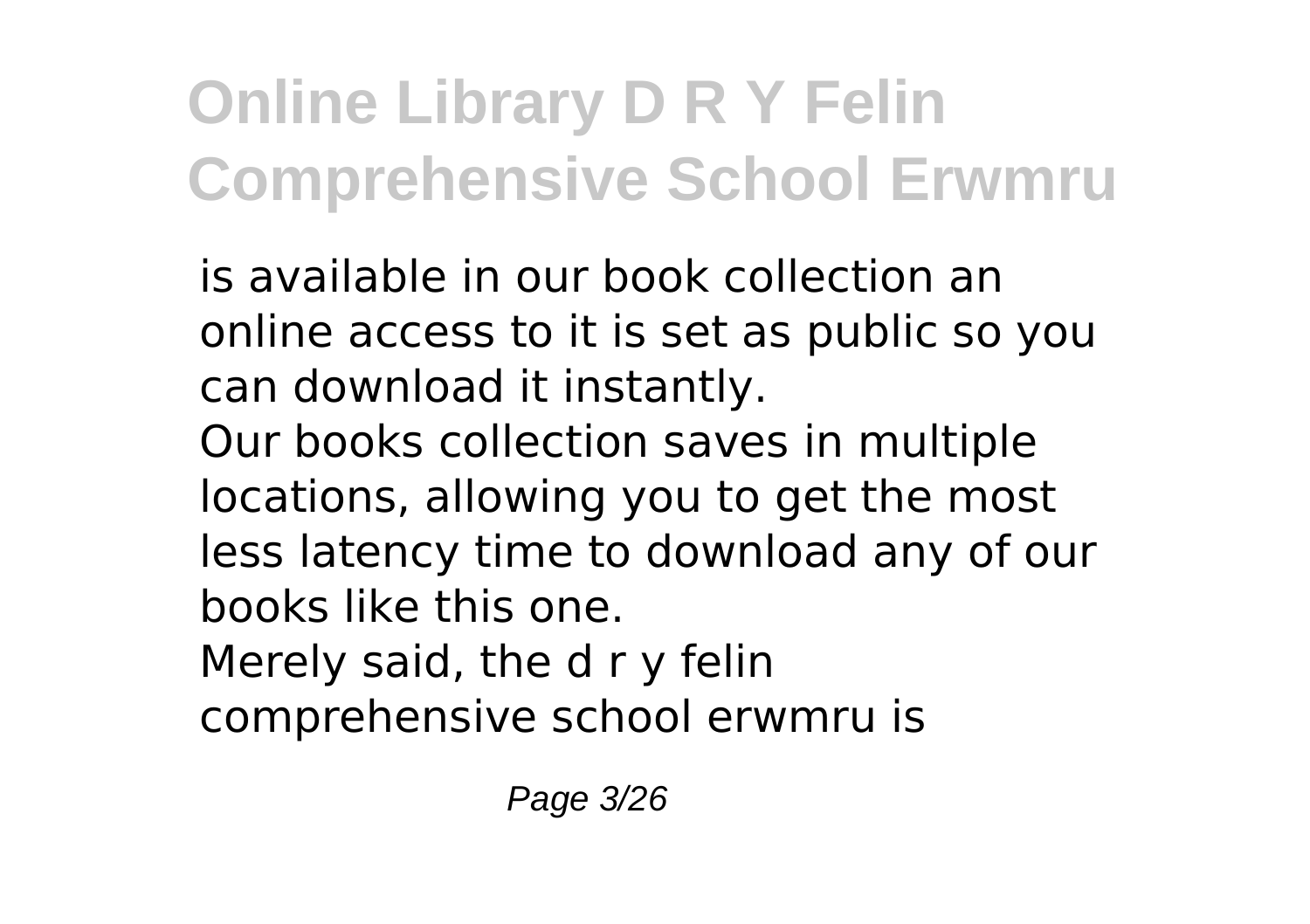is available in our book collection an online access to it is set as public so you can download it instantly.

Our books collection saves in multiple locations, allowing you to get the most less latency time to download any of our books like this one.

Merely said, the d r y felin

comprehensive school erwmru is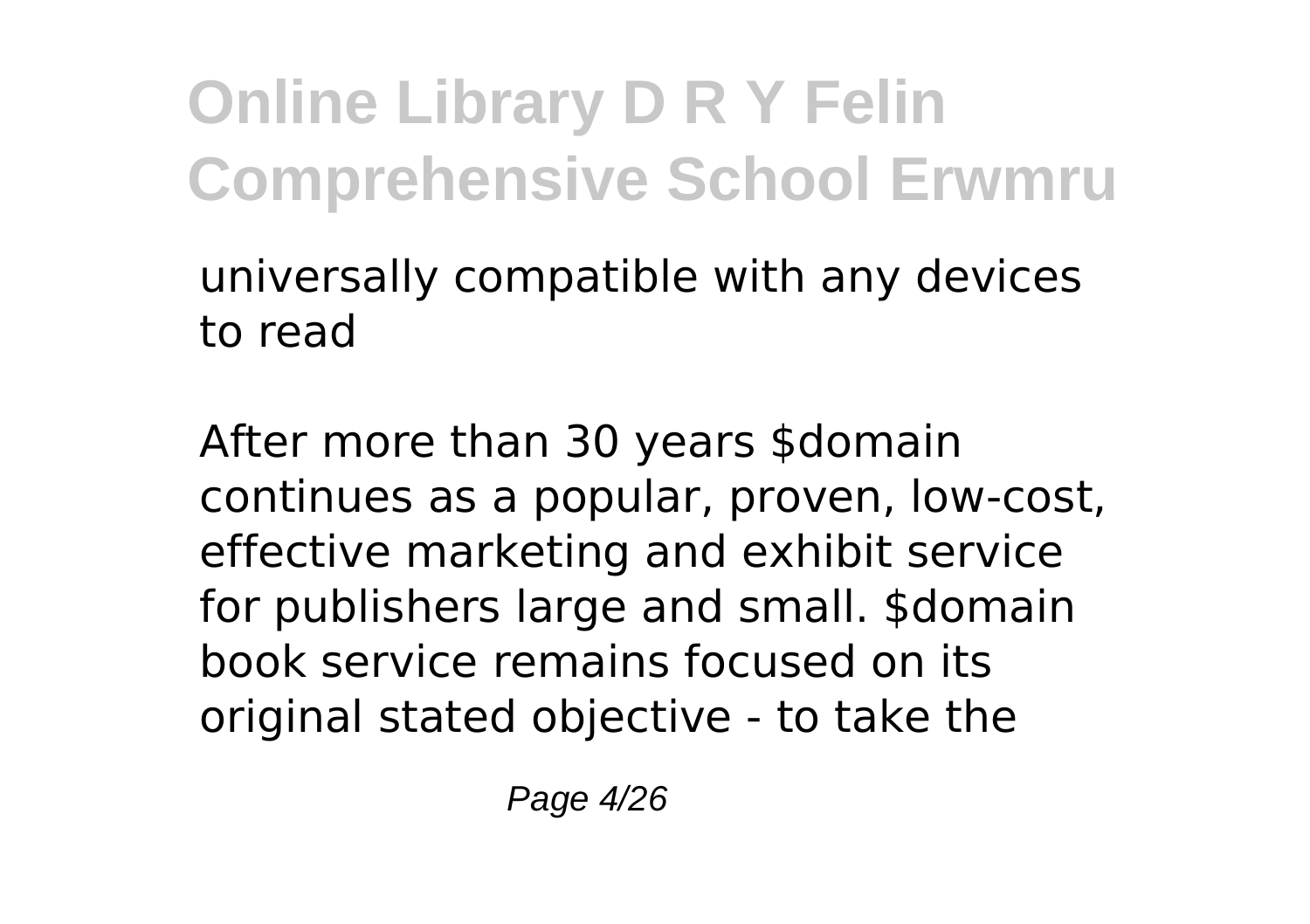universally compatible with any devices to read

After more than 30 years \$domain continues as a popular, proven, low-cost, effective marketing and exhibit service for publishers large and small. \$domain book service remains focused on its original stated objective - to take the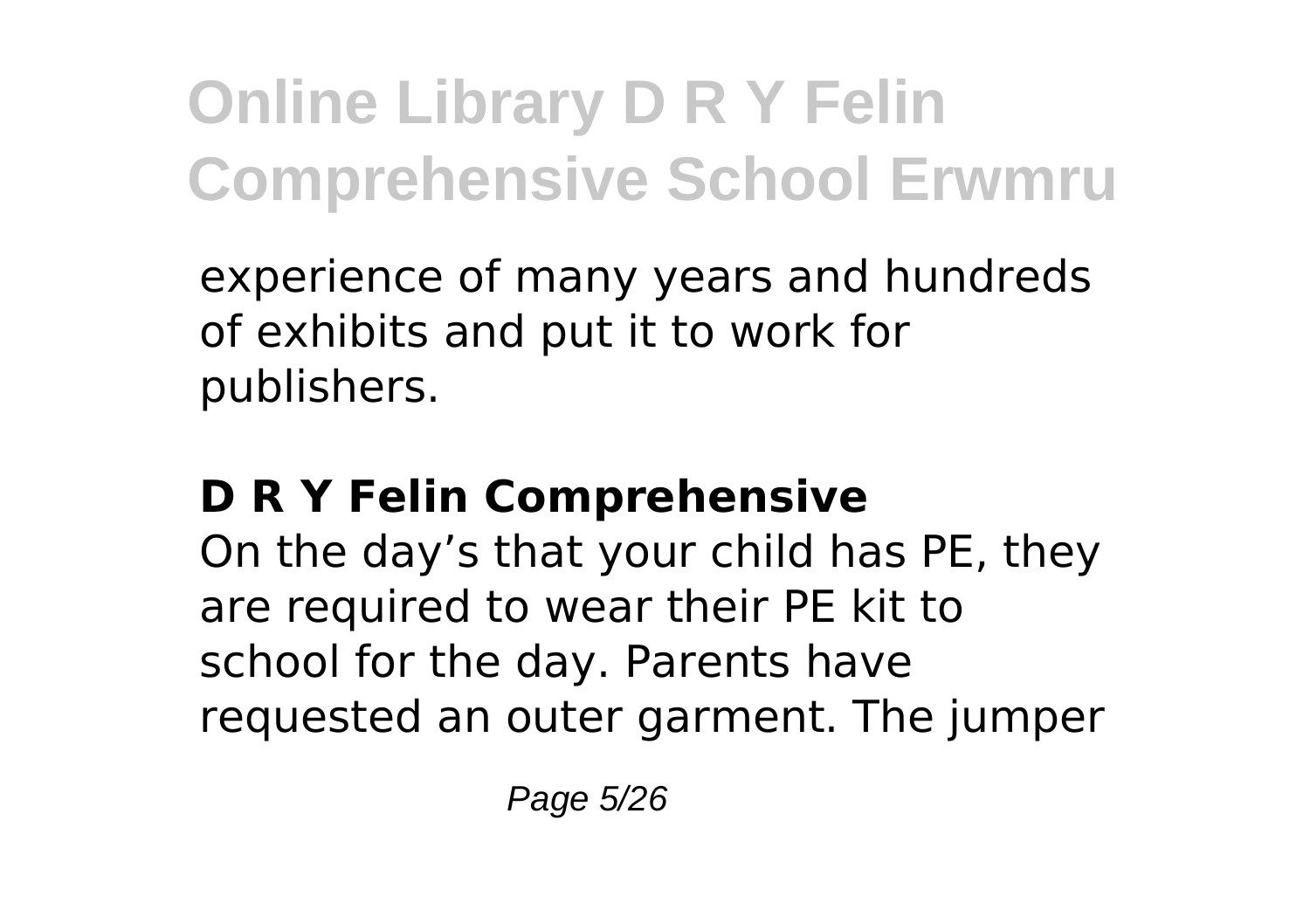experience of many years and hundreds of exhibits and put it to work for publishers.

### **D R Y Felin Comprehensive**

On the day's that your child has PE, they are required to wear their PE kit to school for the day. Parents have requested an outer garment. The jumper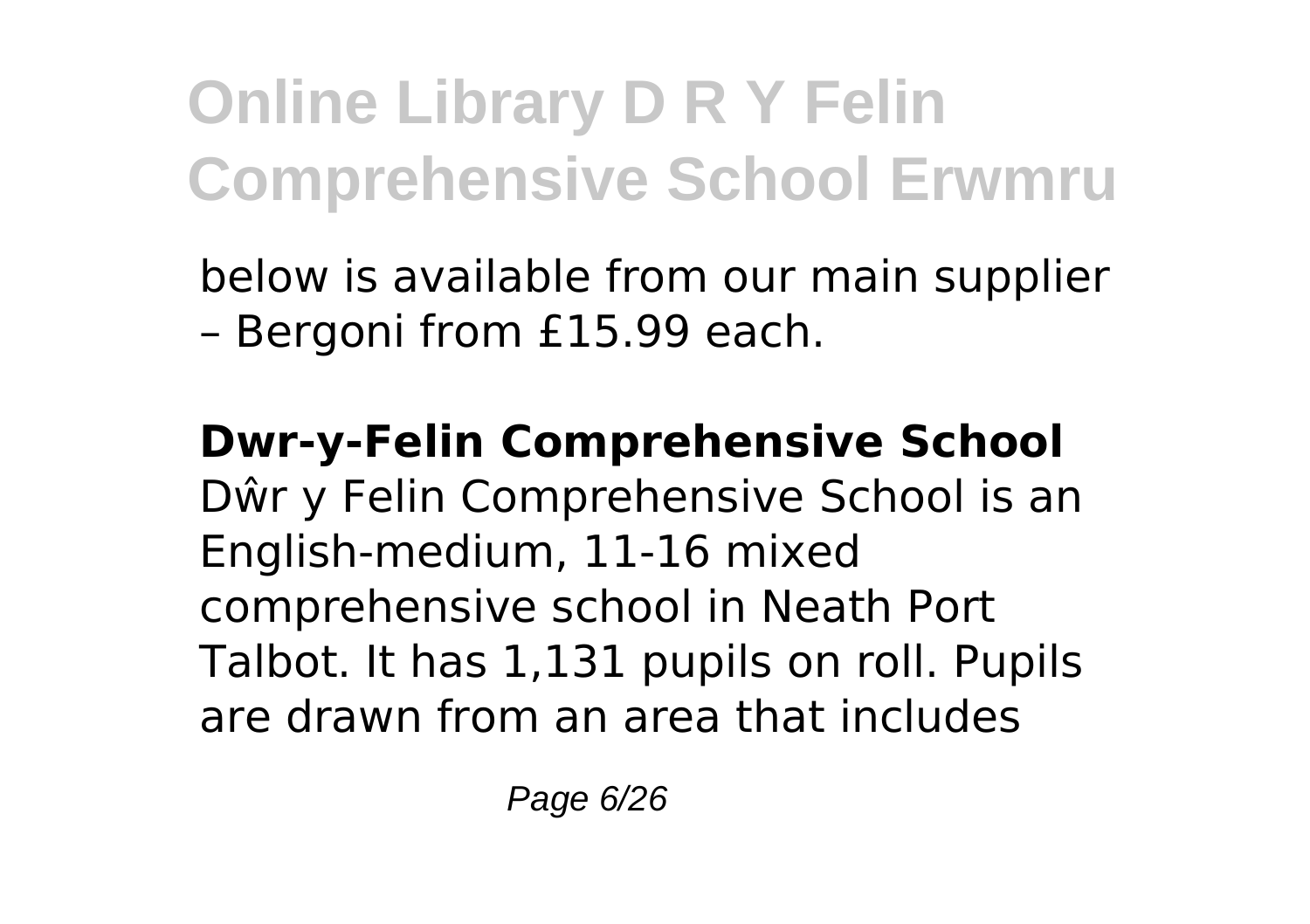below is available from our main supplier – Bergoni from £15.99 each.

**Dwr-y-Felin Comprehensive School** Dŵr y Felin Comprehensive School is an English-medium, 11-16 mixed comprehensive school in Neath Port Talbot. It has 1,131 pupils on roll. Pupils are drawn from an area that includes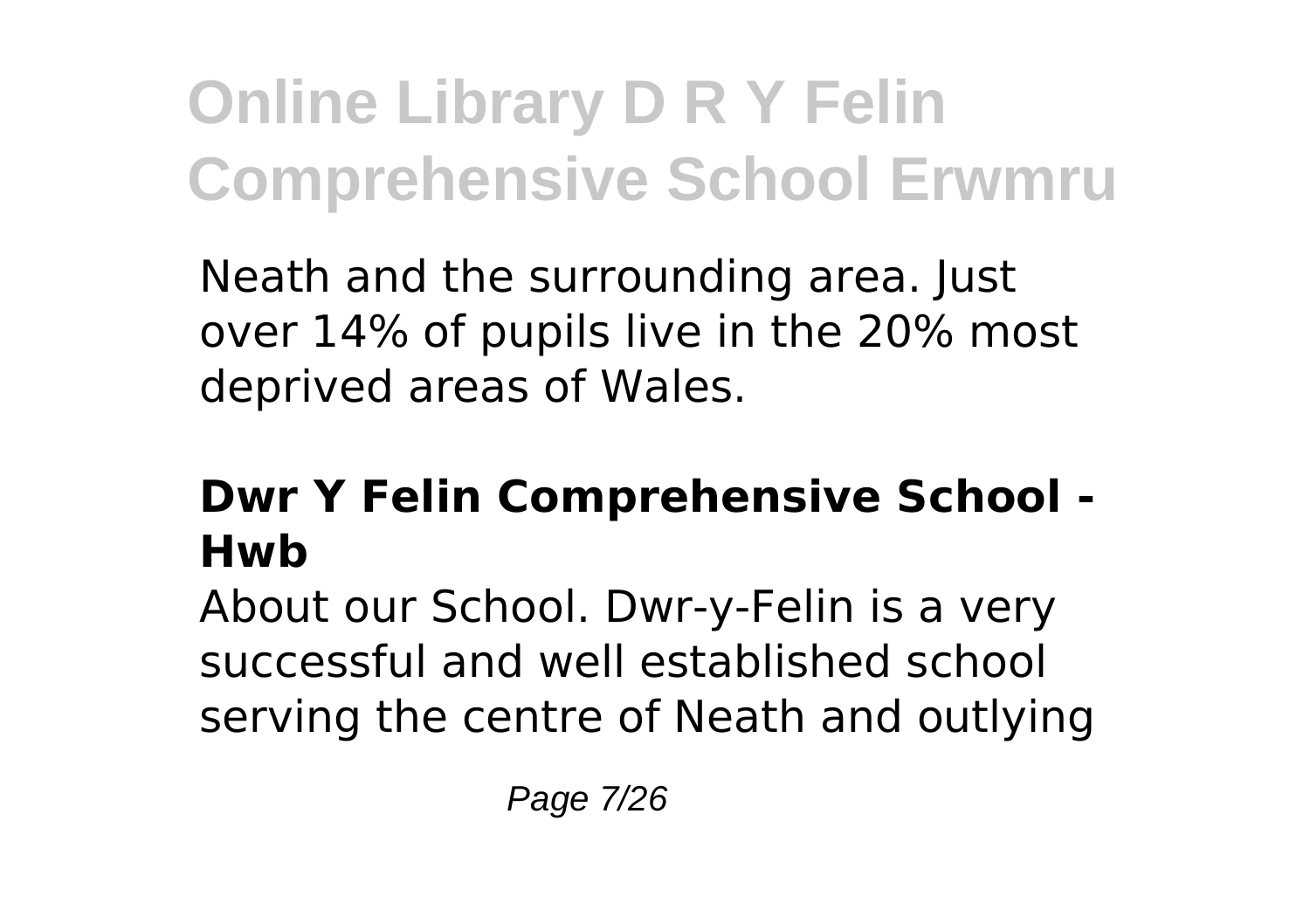Neath and the surrounding area. Just over 14% of pupils live in the 20% most deprived areas of Wales.

### **Dwr Y Felin Comprehensive School - Hwb**

About our School. Dwr-y-Felin is a very successful and well established school serving the centre of Neath and outlying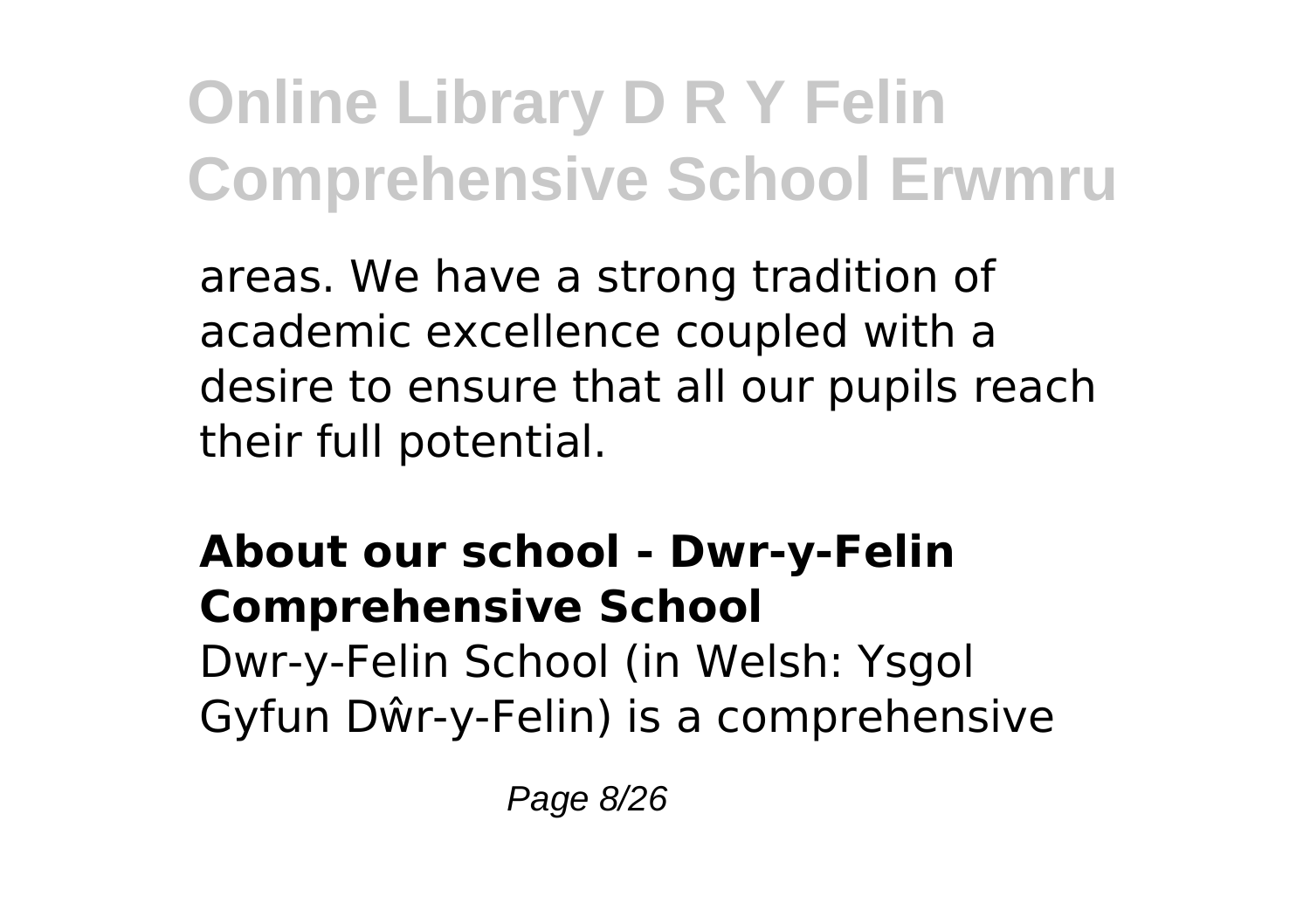areas. We have a strong tradition of academic excellence coupled with a desire to ensure that all our pupils reach their full potential.

**About our school - Dwr-y-Felin Comprehensive School** Dwr-y-Felin School (in Welsh: Ysgol Gyfun Dŵr-y-Felin) is a comprehensive

Page 8/26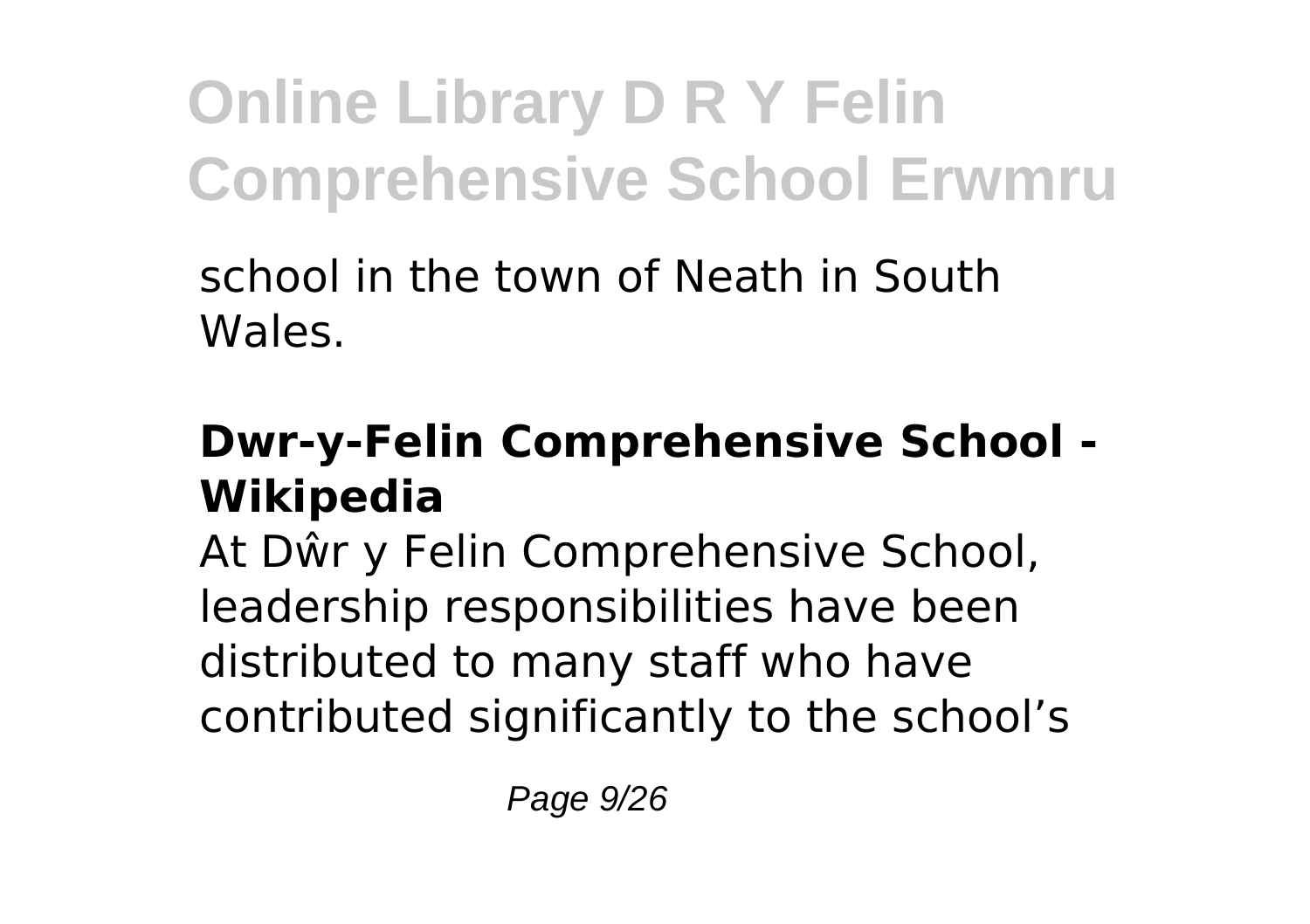school in the town of Neath in South Wales.

#### **Dwr-y-Felin Comprehensive School - Wikipedia**

At Dŵr y Felin Comprehensive School, leadership responsibilities have been distributed to many staff who have contributed significantly to the school's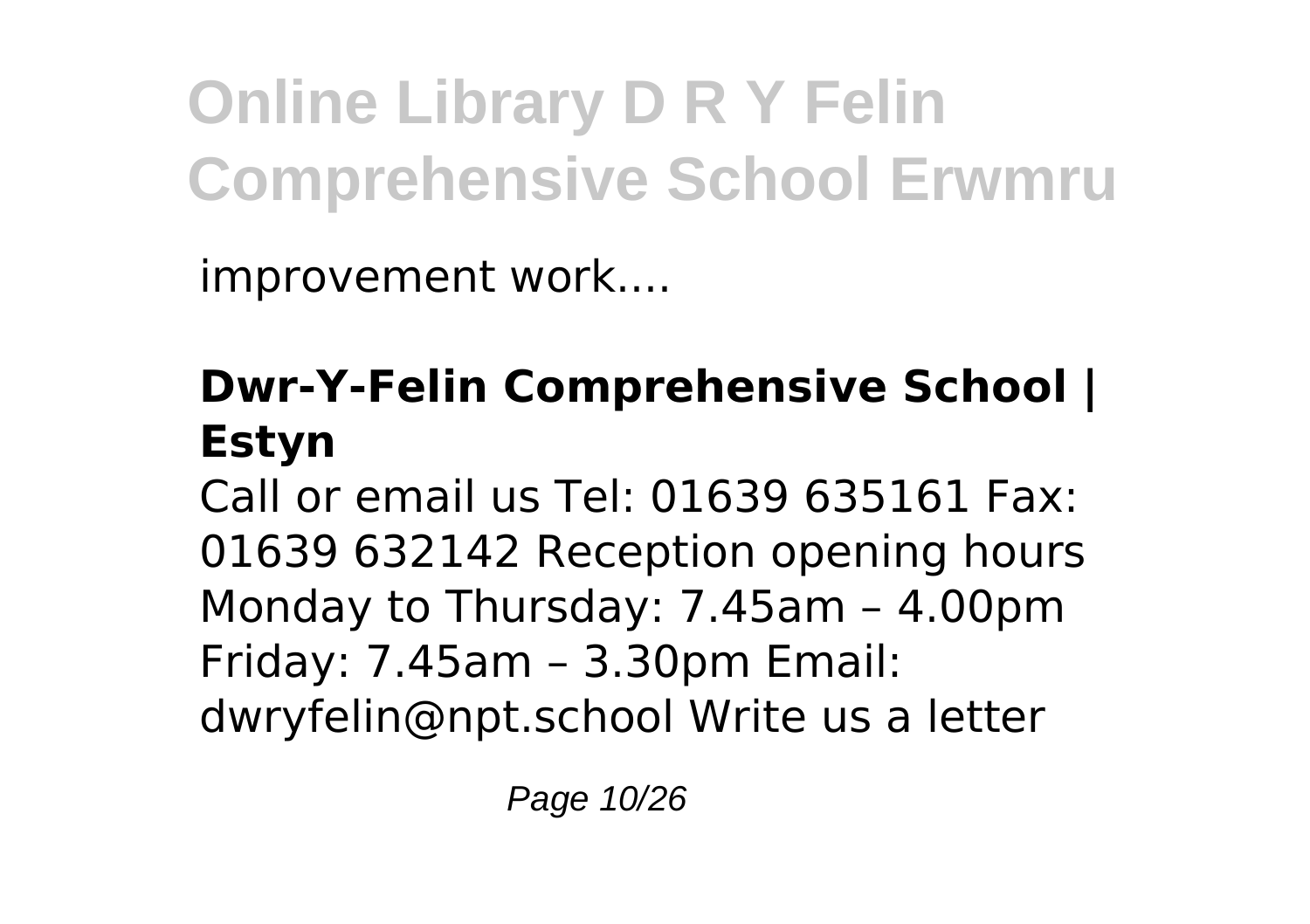improvement work....

### **Dwr-Y-Felin Comprehensive School | Estyn**

Call or email us Tel: 01639 635161 Fax: 01639 632142 Reception opening hours Monday to Thursday: 7.45am – 4.00pm Friday: 7.45am – 3.30pm Email: dwryfelin@npt.school Write us a letter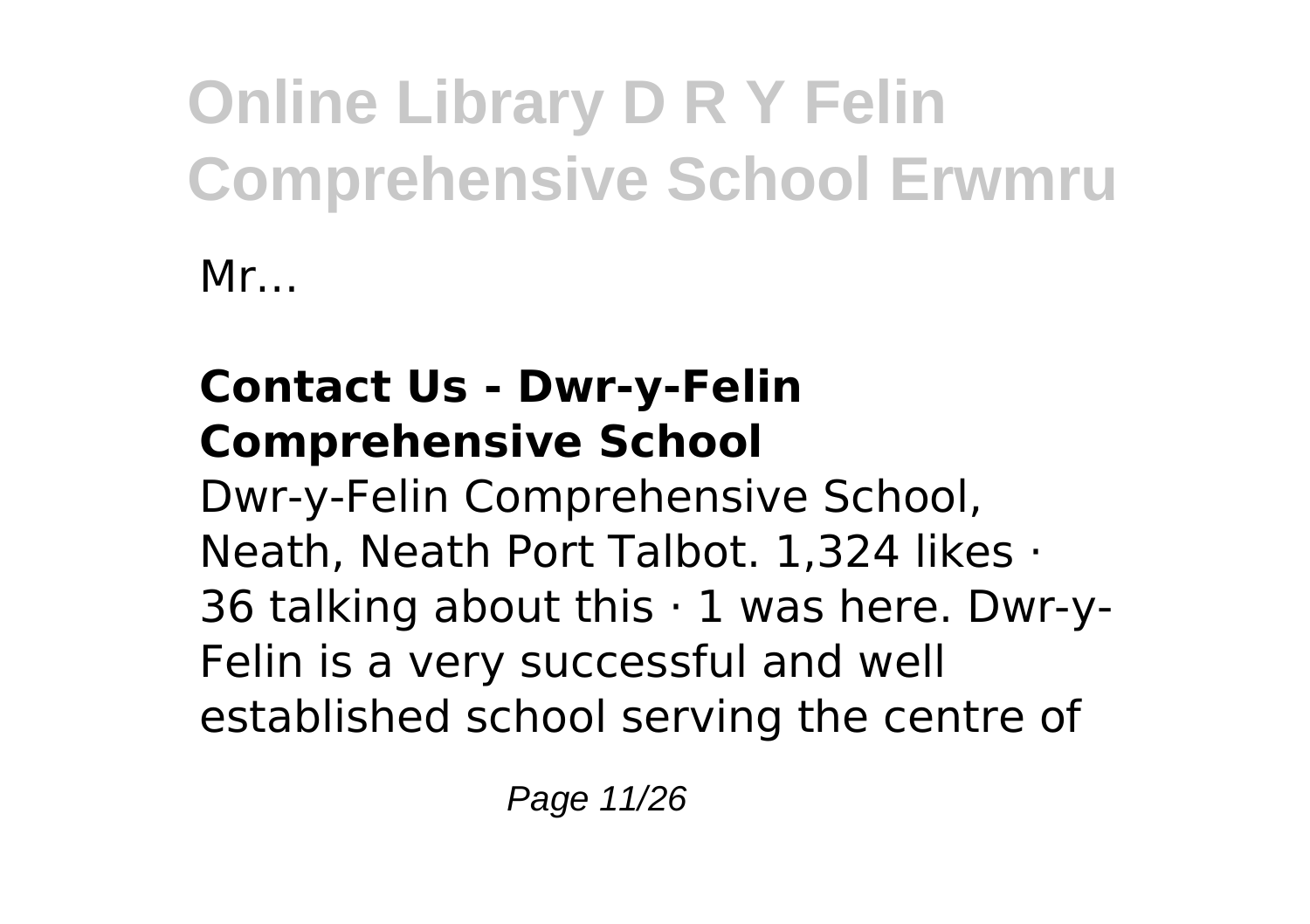Mr…

### **Contact Us - Dwr-y-Felin Comprehensive School**

Dwr-y-Felin Comprehensive School, Neath, Neath Port Talbot. 1,324 likes · 36 talking about this  $\cdot$  1 was here. Dwr-y-Felin is a very successful and well established school serving the centre of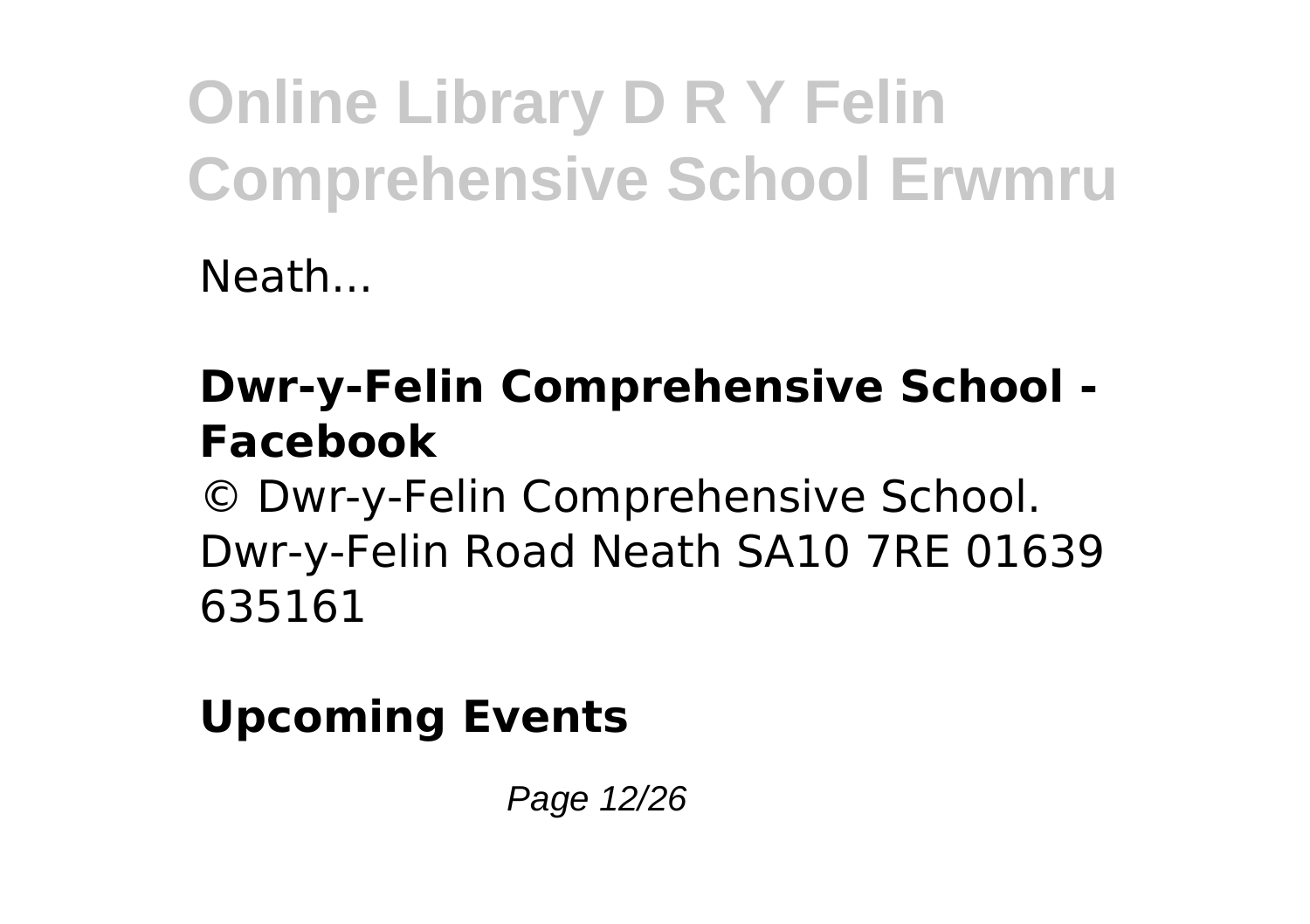Neath...

### **Dwr-y-Felin Comprehensive School - Facebook**

© Dwr-y-Felin Comprehensive School. Dwr-y-Felin Road Neath SA10 7RE 01639 635161

### **Upcoming Events**

Page 12/26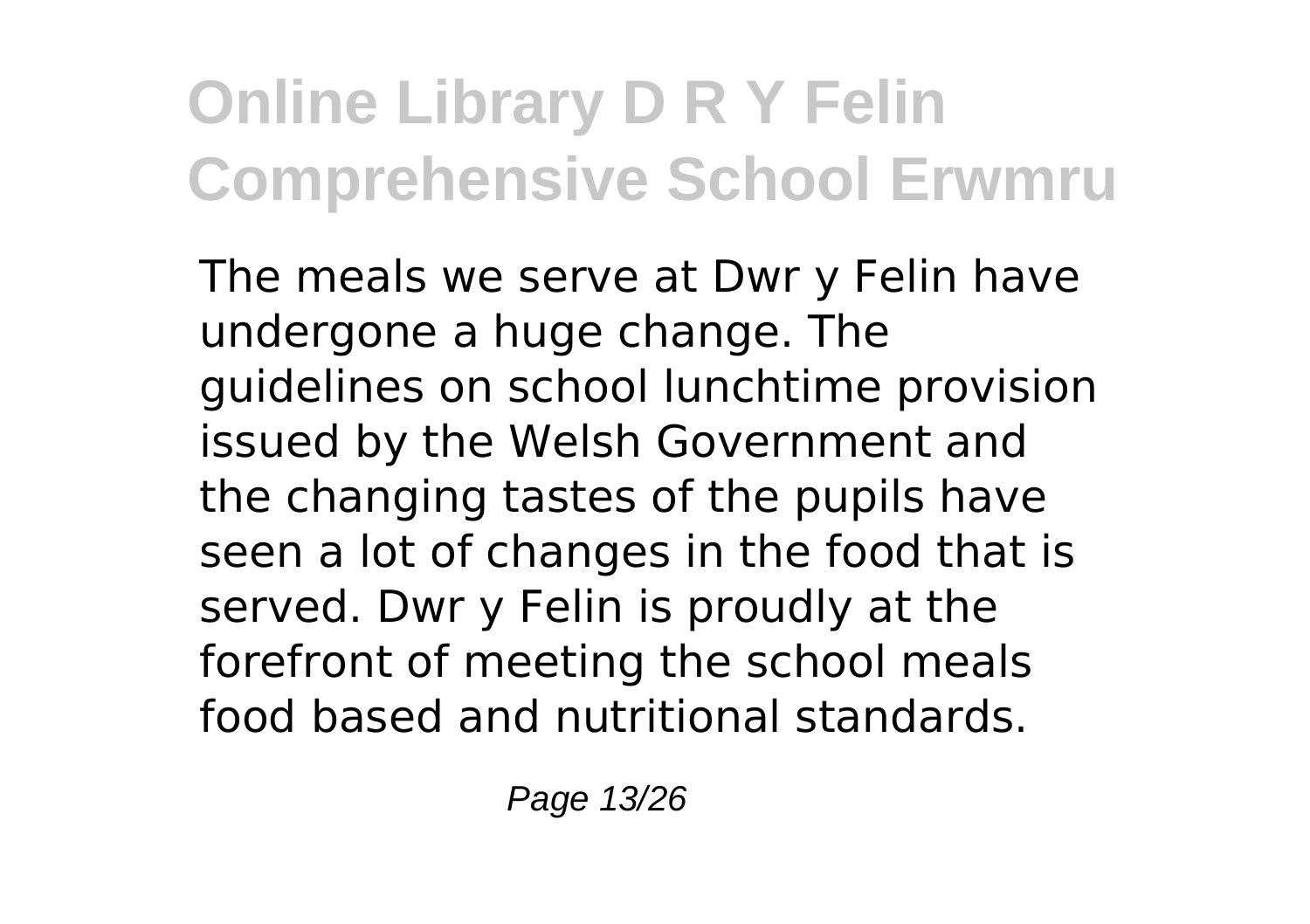The meals we serve at Dwr y Felin have undergone a huge change. The guidelines on school lunchtime provision issued by the Welsh Government and the changing tastes of the pupils have seen a lot of changes in the food that is served. Dwr y Felin is proudly at the forefront of meeting the school meals food based and nutritional standards.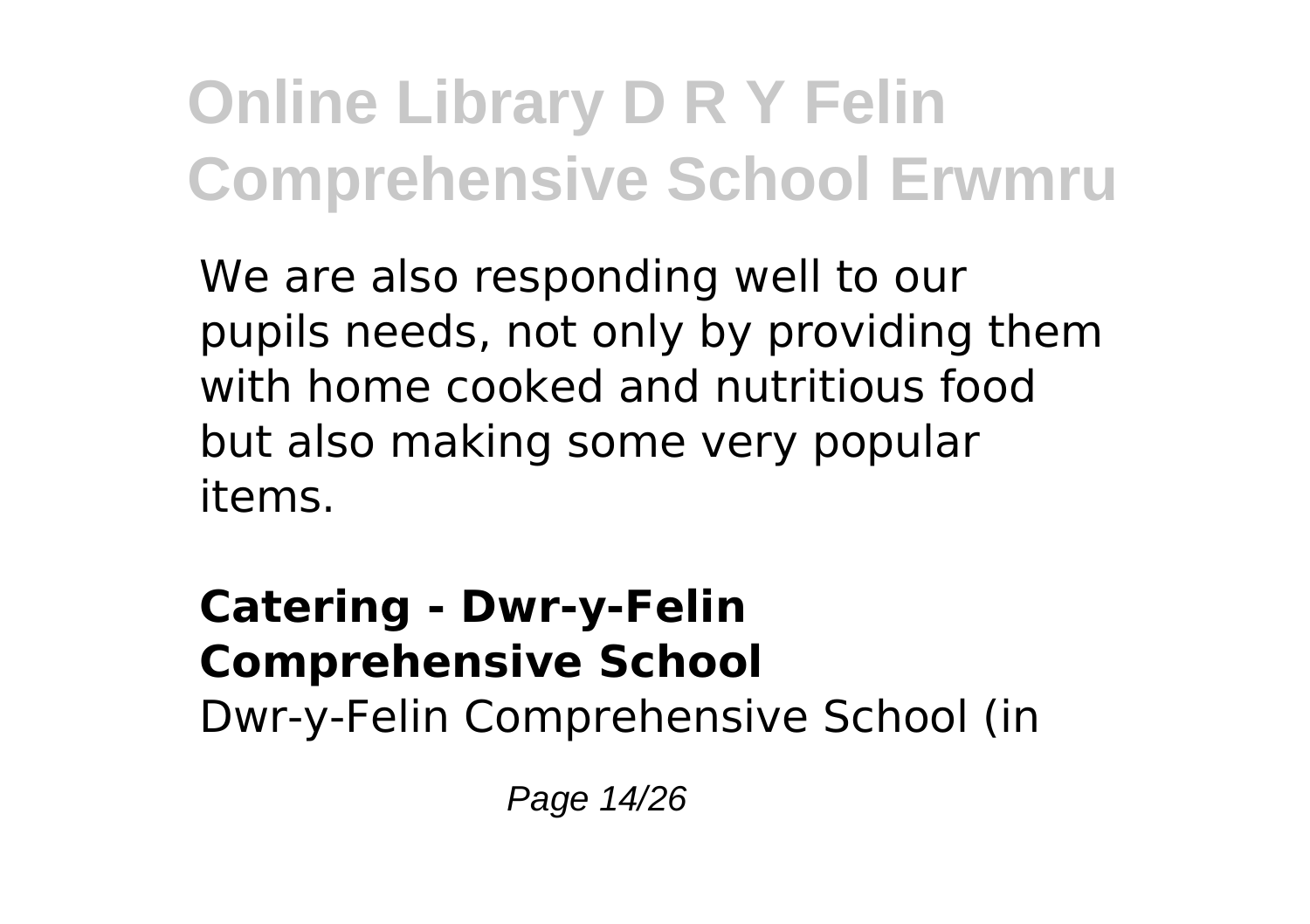We are also responding well to our pupils needs, not only by providing them with home cooked and nutritious food but also making some very popular items.

#### **Catering - Dwr-y-Felin Comprehensive School** Dwr-y-Felin Comprehensive School (in

Page 14/26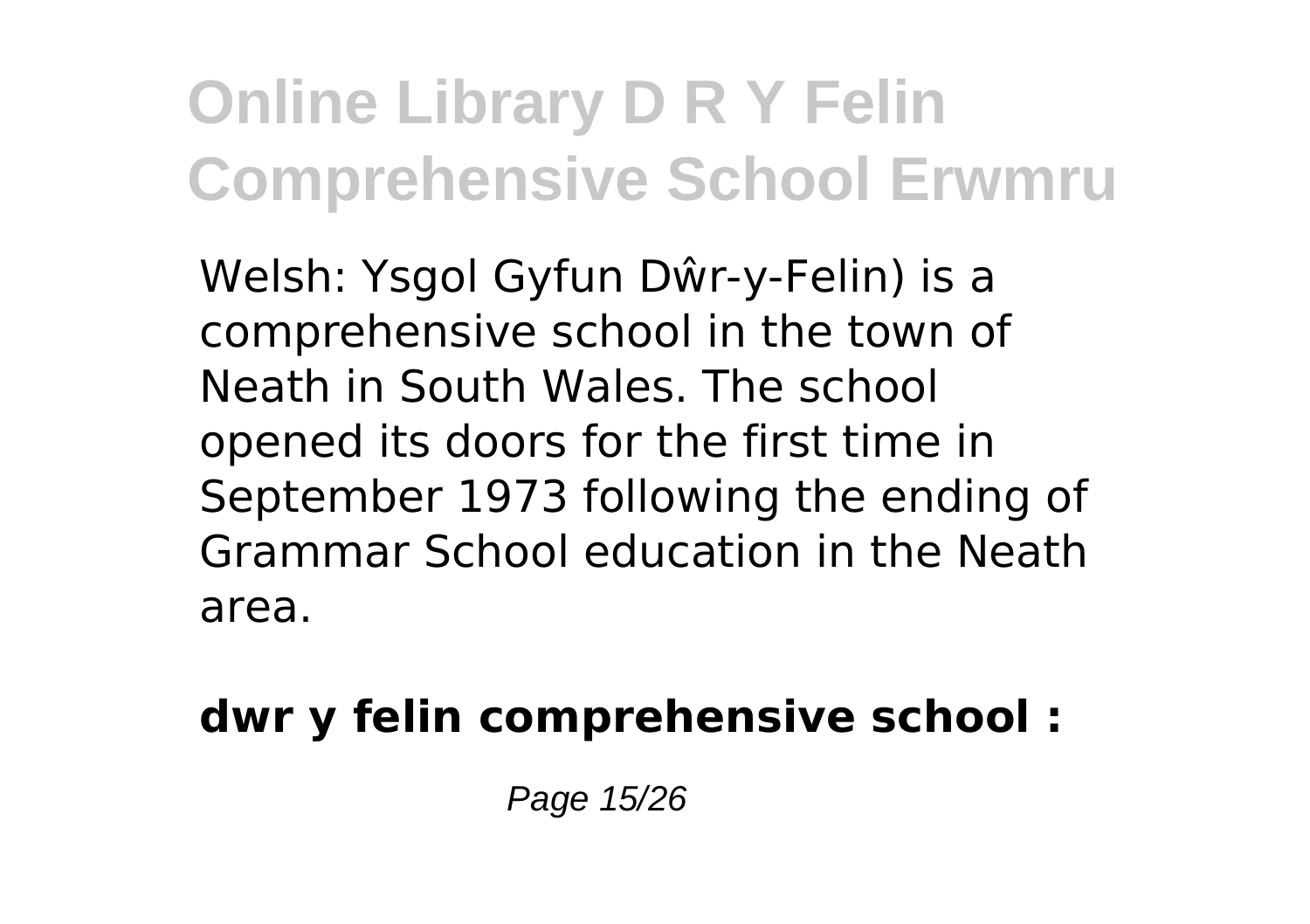Welsh: Ysgol Gyfun Dŵr-y-Felin) is a comprehensive school in the town of Neath in South Wales. The school opened its doors for the first time in September 1973 following the ending of Grammar School education in the Neath area.

### **dwr y felin comprehensive school :**

Page 15/26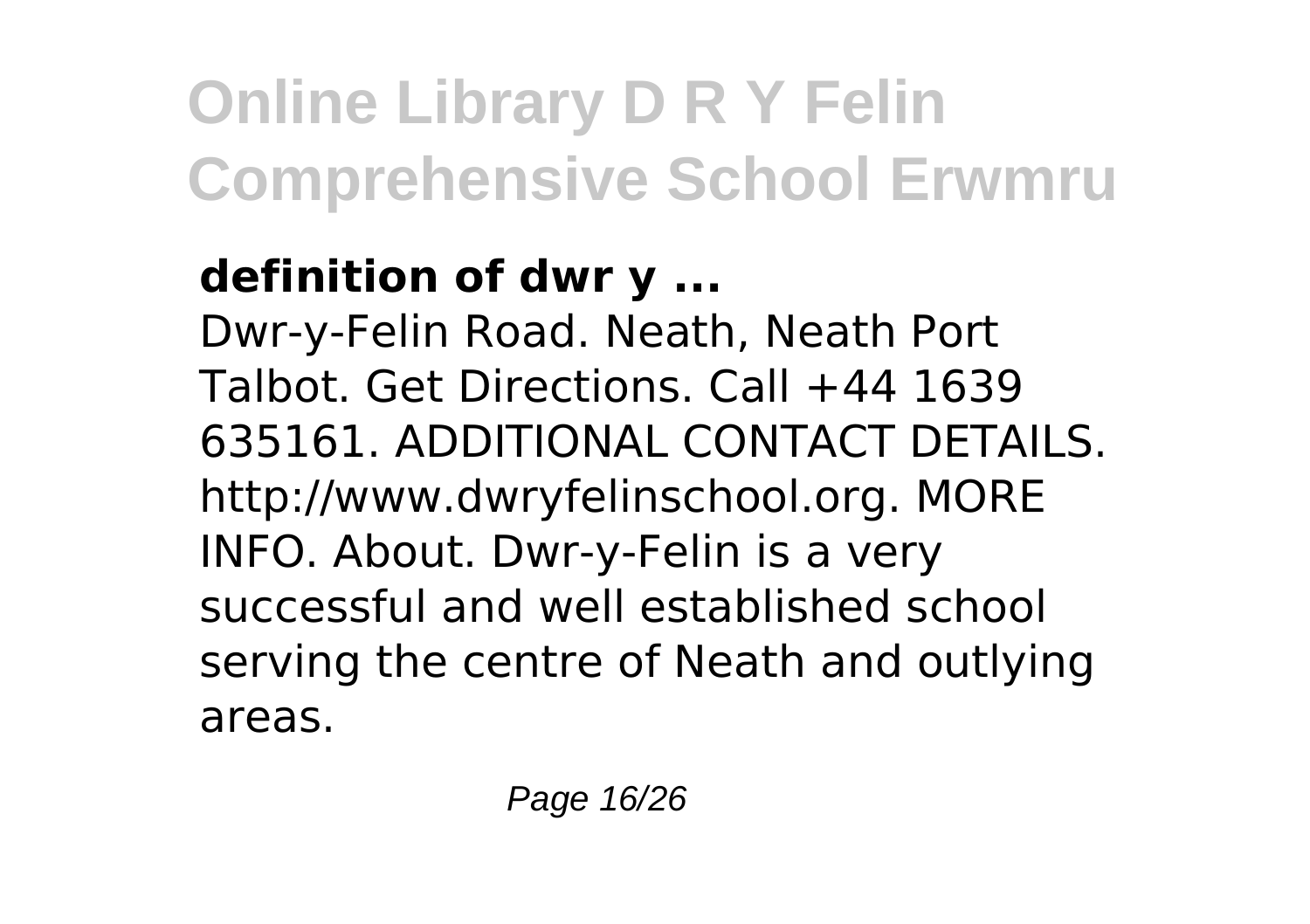### **definition of dwr y ...**

Dwr-y-Felin Road. Neath, Neath Port Talbot. Get Directions. Call +44 1639 635161. ADDITIONAL CONTACT DETAILS. http://www.dwryfelinschool.org. MORE INFO. About. Dwr-y-Felin is a very successful and well established school serving the centre of Neath and outlying areas.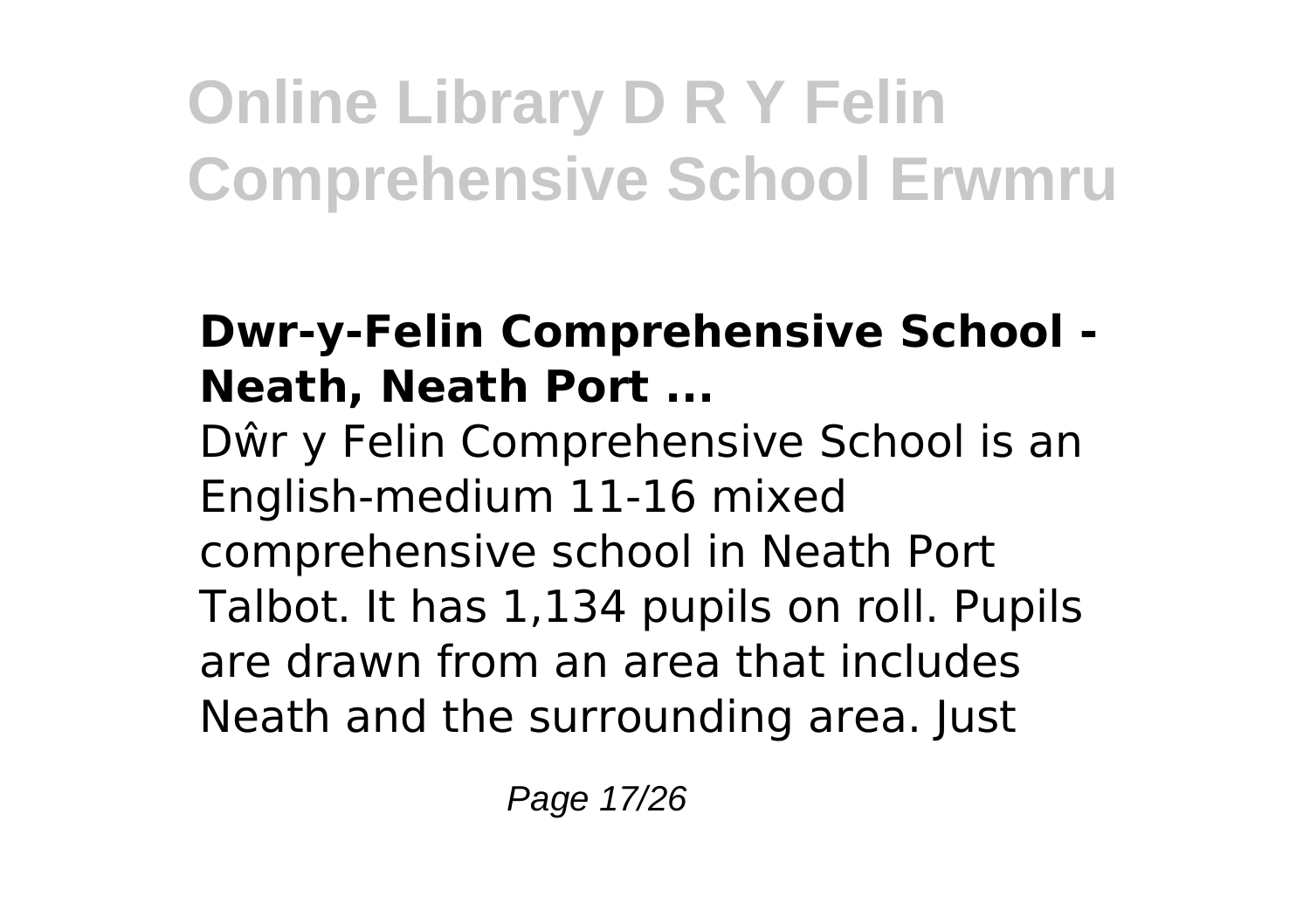### **Dwr-y-Felin Comprehensive School - Neath, Neath Port ...**

Dŵr y Felin Comprehensive School is an English-medium 11-16 mixed comprehensive school in Neath Port Talbot. It has 1,134 pupils on roll. Pupils are drawn from an area that includes Neath and the surrounding area. Just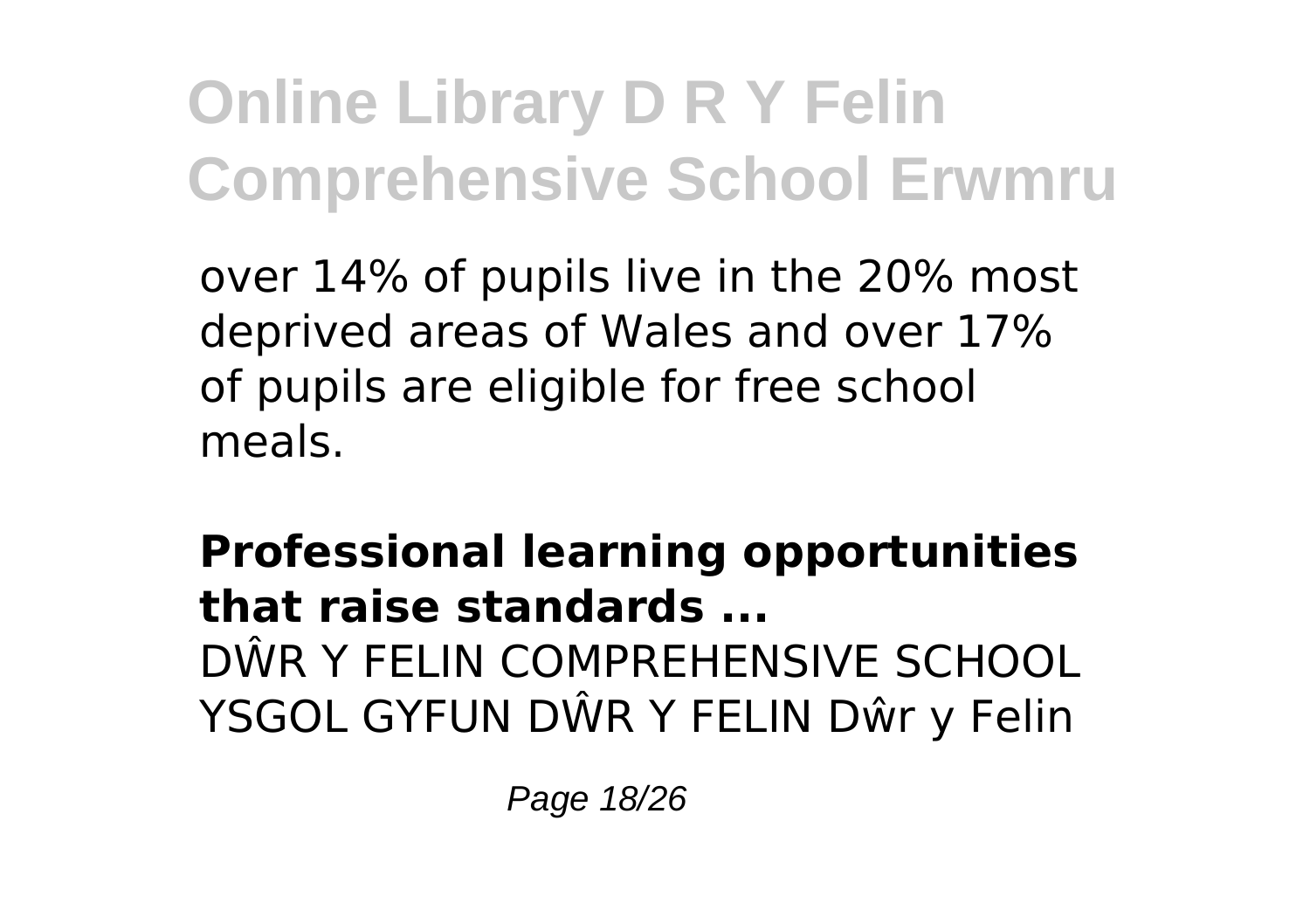over 14% of pupils live in the 20% most deprived areas of Wales and over 17% of pupils are eligible for free school meals.

**Professional learning opportunities that raise standards ...** DŴR Y FELIN COMPREHENSIVE SCHOOL YSGOL GYFUN DŴR Y FELIN Dŵr y Felin

Page 18/26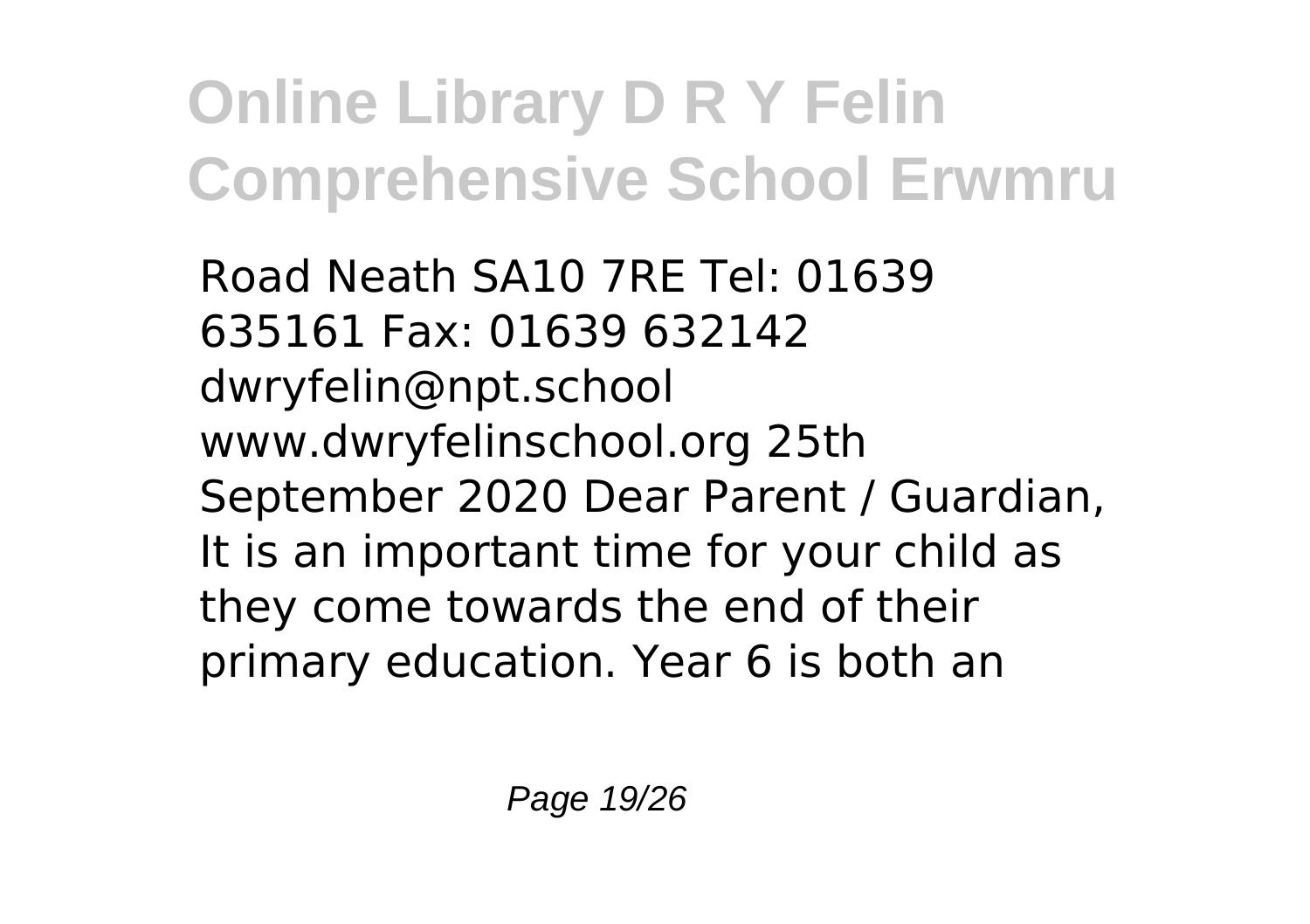Road Neath SA10 7RE Tel: 01639 635161 Fax: 01639 632142 dwryfelin@npt.school www.dwryfelinschool.org 25th September 2020 Dear Parent / Guardian, It is an important time for your child as they come towards the end of their primary education. Year 6 is both an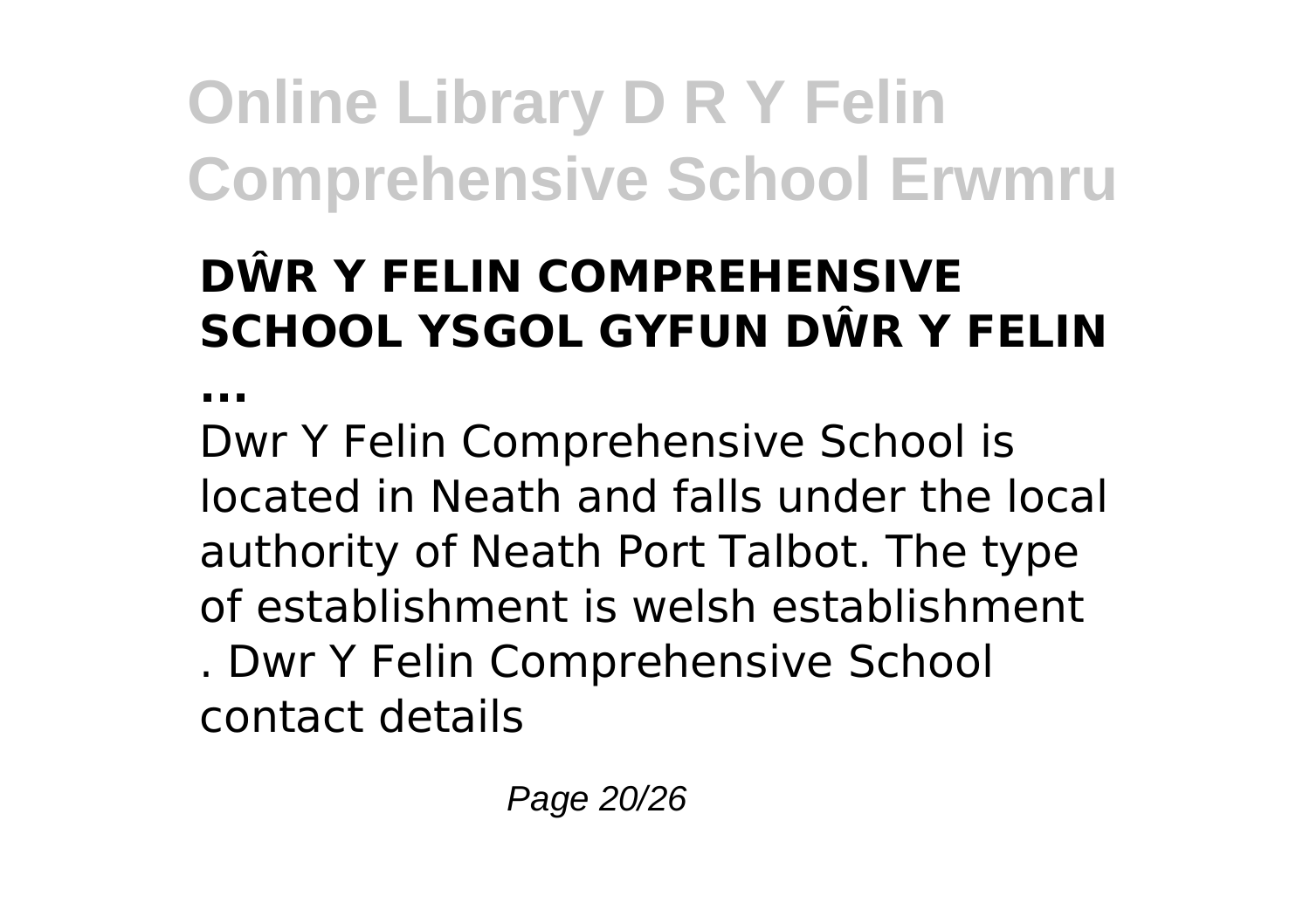### **DŴR Y FELIN COMPREHENSIVE SCHOOL YSGOL GYFUN DŴR Y FELIN**

**...**

Dwr Y Felin Comprehensive School is located in Neath and falls under the local authority of Neath Port Talbot. The type of establishment is welsh establishment . Dwr Y Felin Comprehensive School contact details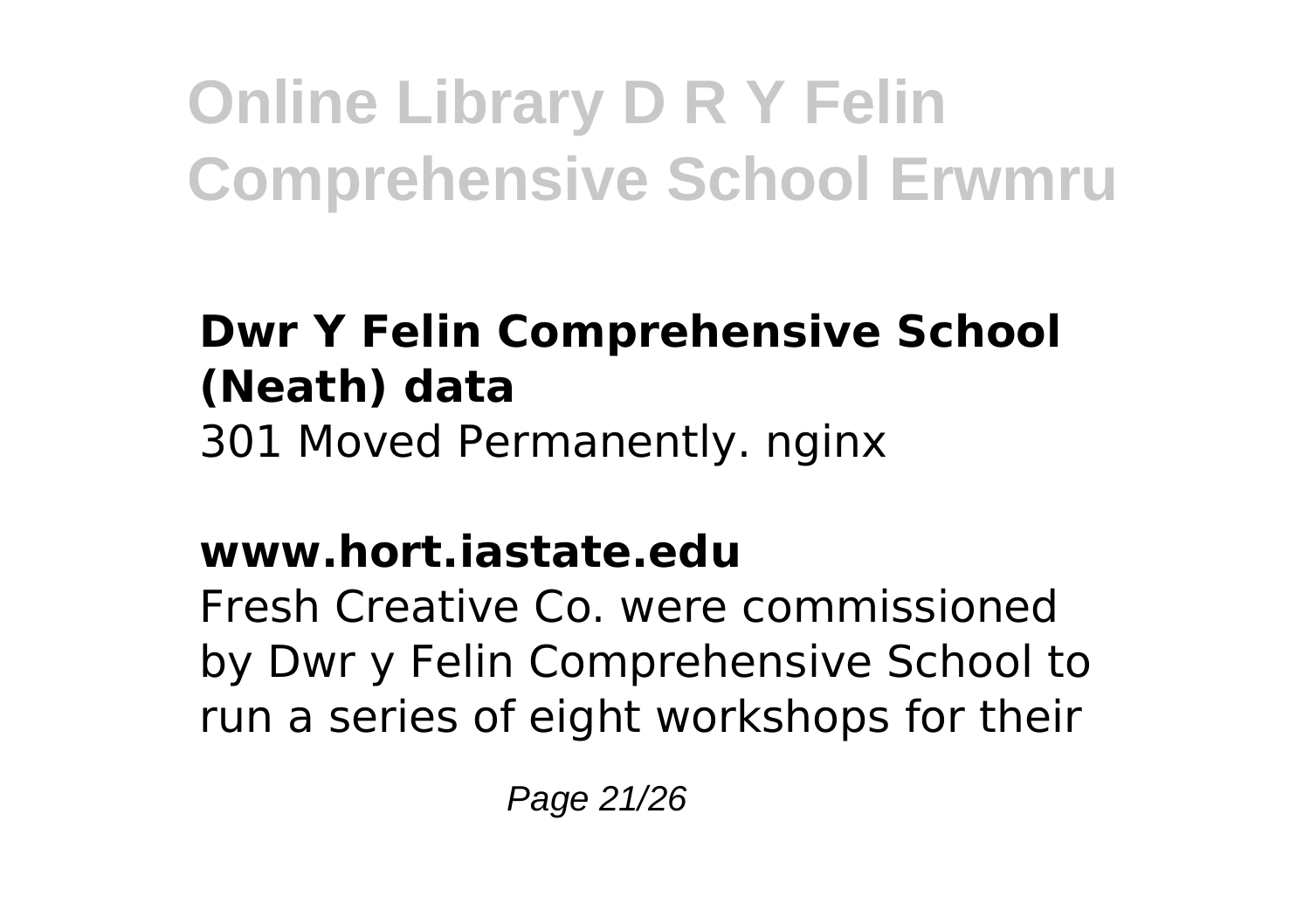### **Dwr Y Felin Comprehensive School (Neath) data** 301 Moved Permanently. nginx

### **www.hort.iastate.edu**

Fresh Creative Co. were commissioned by Dwr y Felin Comprehensive School to run a series of eight workshops for their

Page 21/26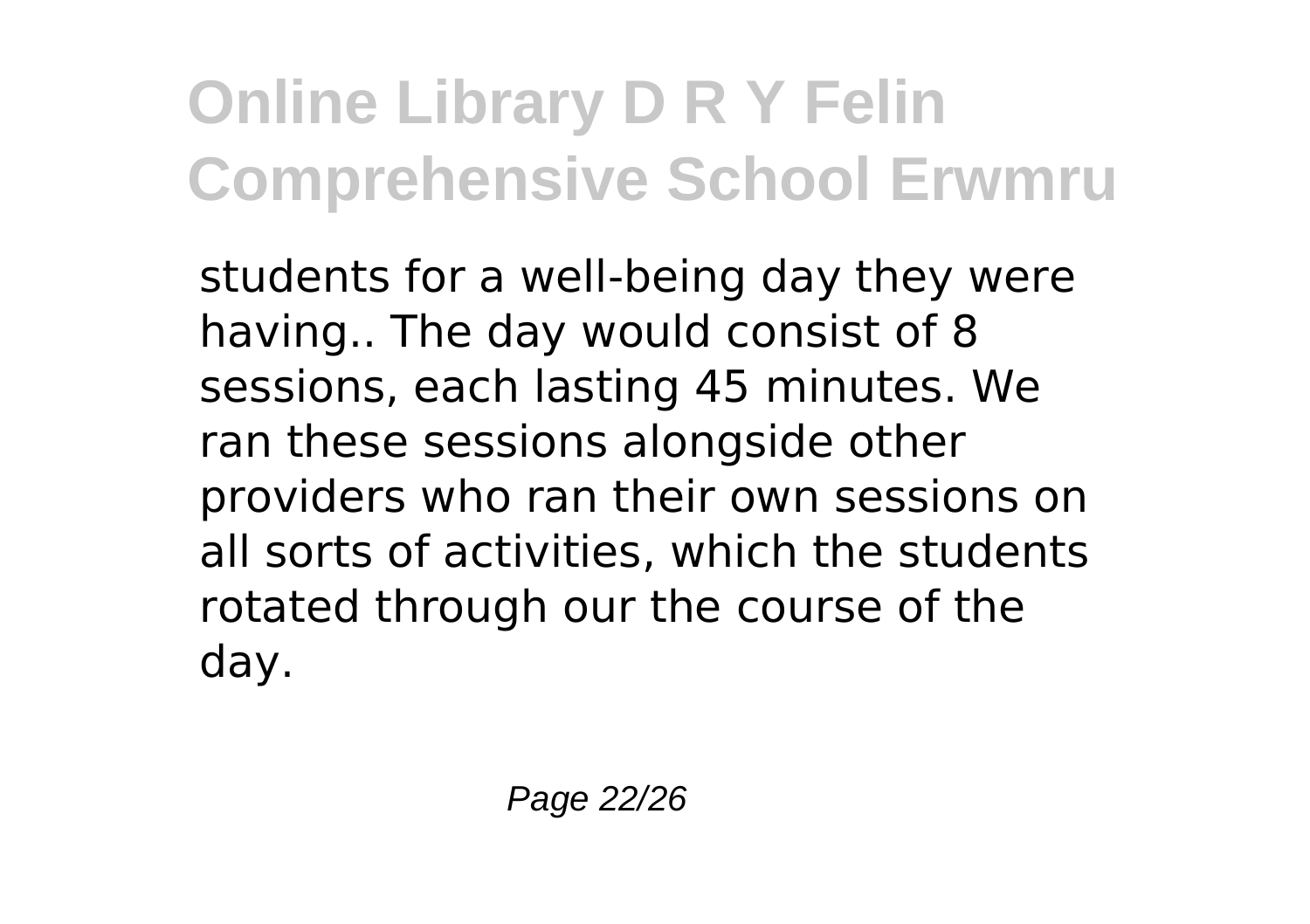students for a well-being day they were having.. The day would consist of 8 sessions, each lasting 45 minutes. We ran these sessions alongside other providers who ran their own sessions on all sorts of activities, which the students rotated through our the course of the day.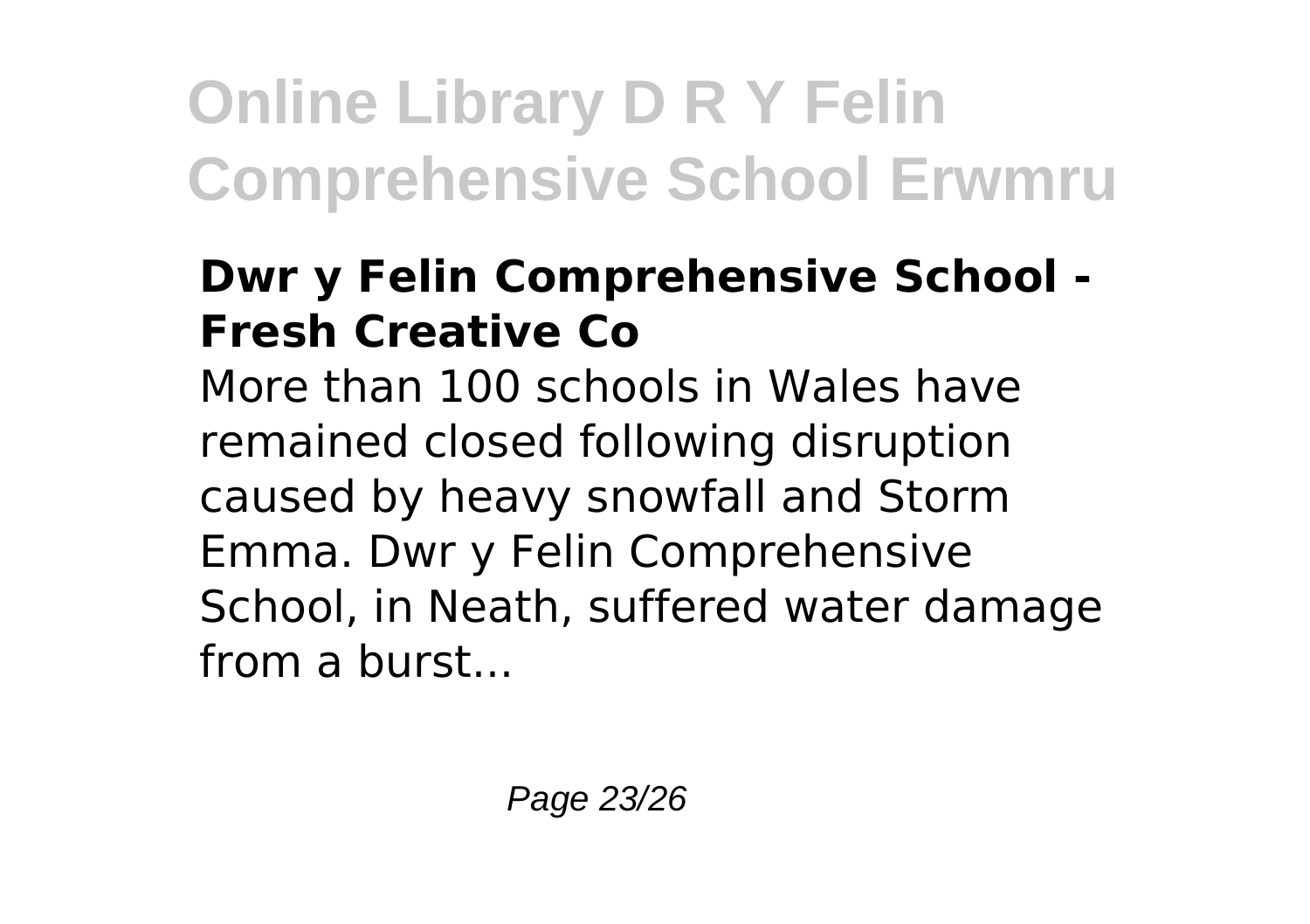#### **Dwr y Felin Comprehensive School - Fresh Creative Co**

More than 100 schools in Wales have remained closed following disruption caused by heavy snowfall and Storm Emma. Dwr y Felin Comprehensive School, in Neath, suffered water damage from a burst...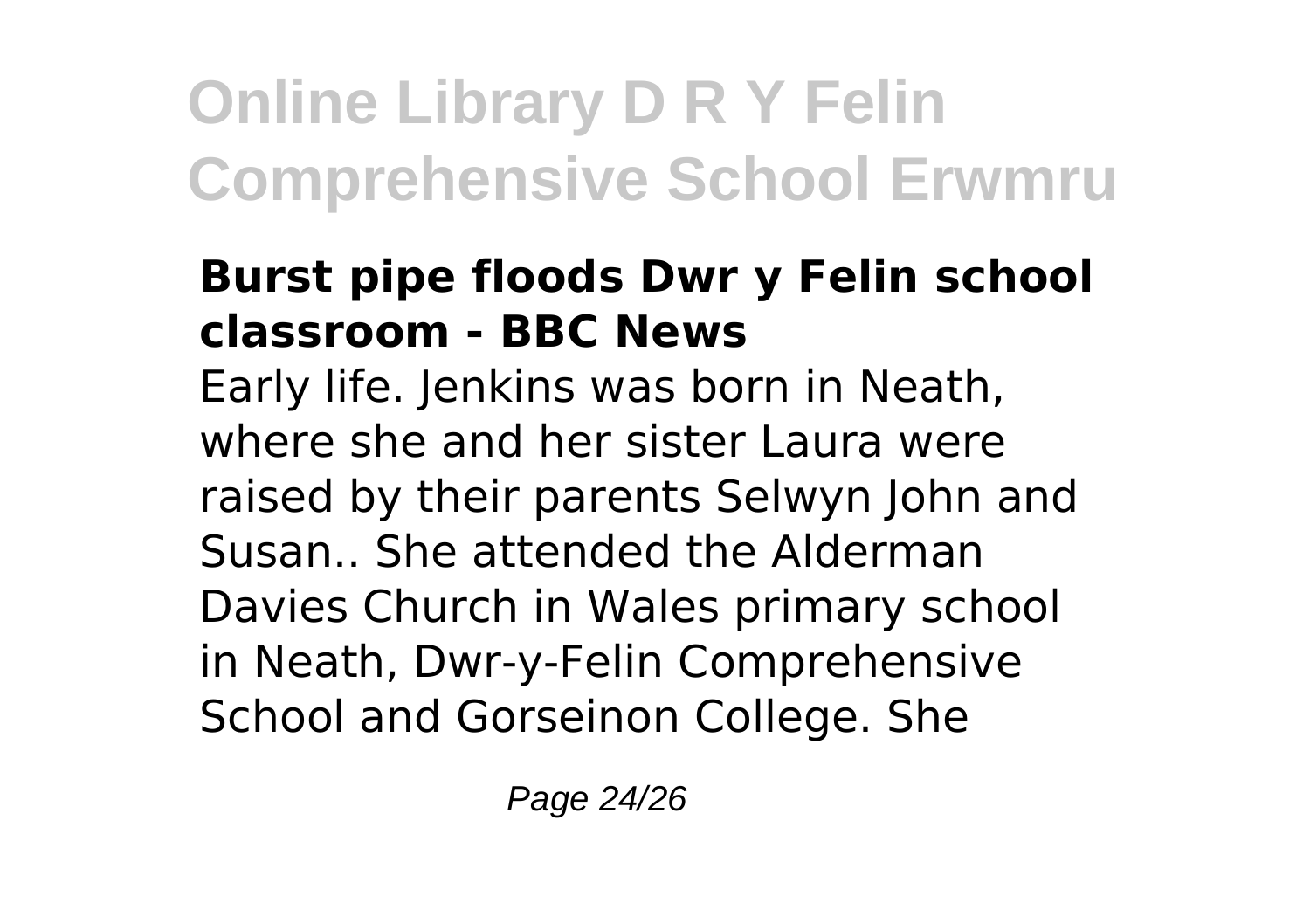#### **Burst pipe floods Dwr y Felin school classroom - BBC News**

Early life. Jenkins was born in Neath, where she and her sister Laura were raised by their parents Selwyn John and Susan.. She attended the Alderman Davies Church in Wales primary school in Neath, Dwr-y-Felin Comprehensive School and Gorseinon College. She

Page 24/26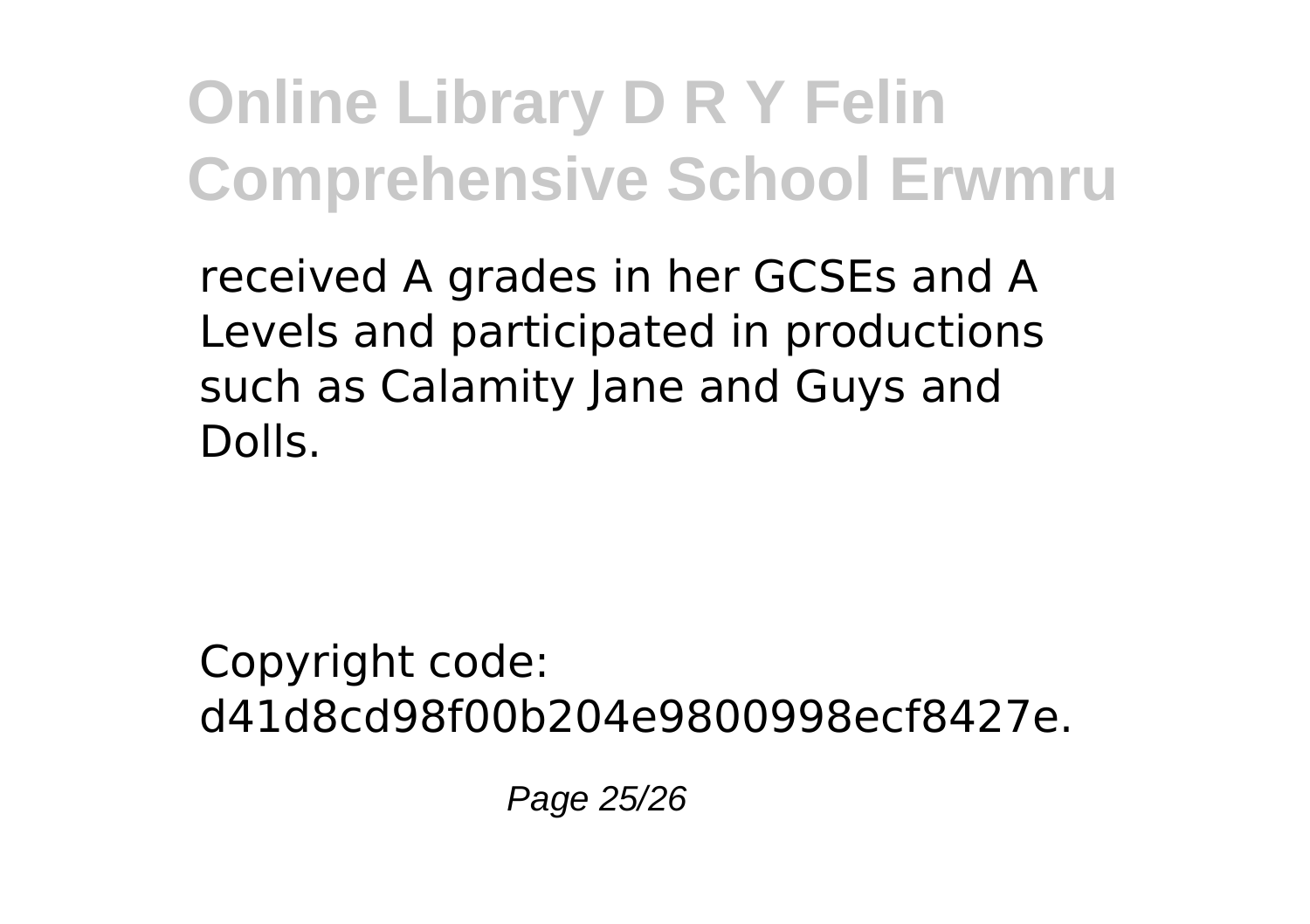received A grades in her GCSEs and A Levels and participated in productions such as Calamity Jane and Guys and Dolls.

Copyright code: d41d8cd98f00b204e9800998ecf8427e.

Page 25/26